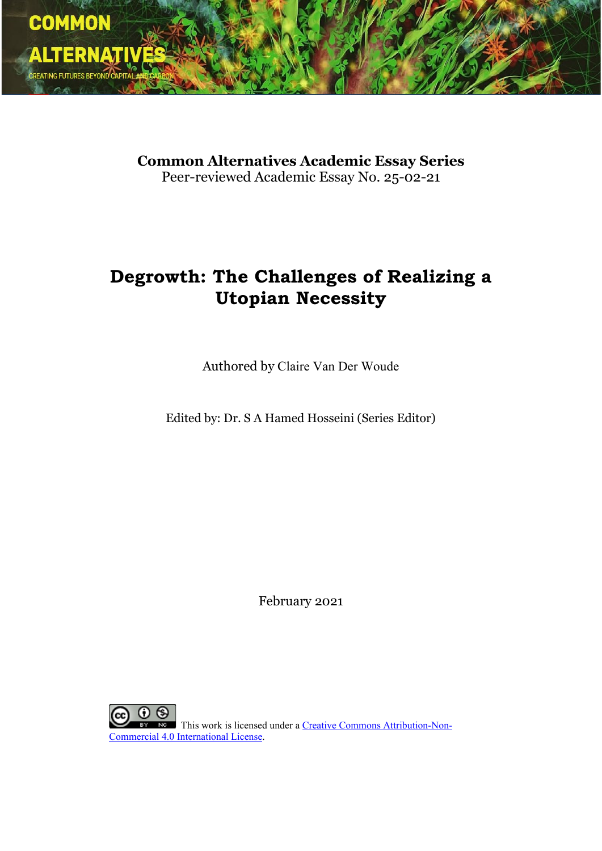

**Common Alternatives Academic Essay Series** Peer-reviewed Academic Essay No. 25-02-21

# **Degrowth: The Challenges of Realizing a Utopian Necessity**

Authored by Claire Van Der Woude

Edited by: Dr. S A Hamed Hosseini (Series Editor)

February 2021

 $\odot$ **NG** This work is licensed under a [Creative Commons Attribution-Non-](http://creativecommons.org/licenses/by-nc/4.0/)[Commercial 4.0 International License.](http://creativecommons.org/licenses/by-nc/4.0/)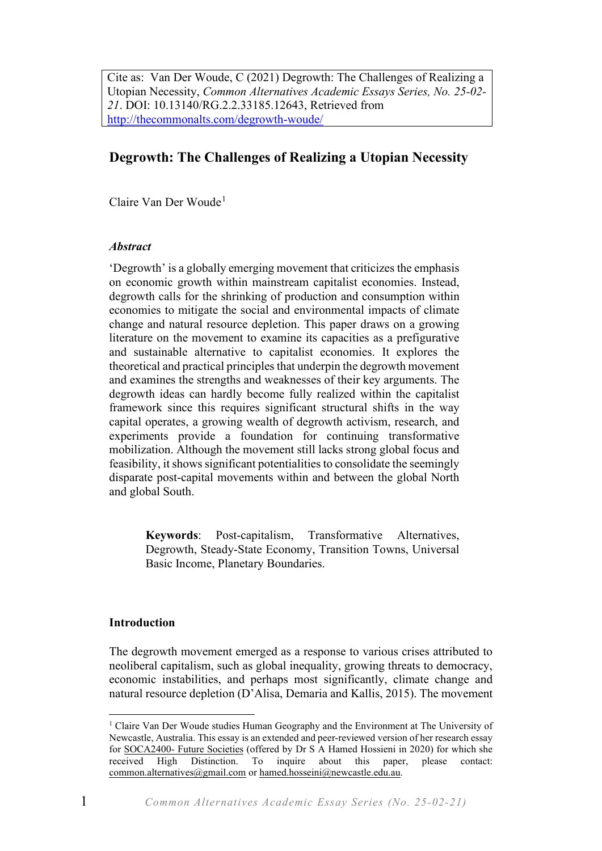Cite as: Van Der Woude, C (2021) Degrowth: The Challenges of Realizing a Utopian Necessity, *Common Alternatives Academic Essays Series, No. 25-02- 21*. DOI: 10.13140/RG.2.2.33185.12643, Retrieved from <http://thecommonalts.com/degrowth-woude/>

# **Degrowth: The Challenges of Realizing a Utopian Necessity**

Claire Van Der Woude<sup>[1](#page-1-0)</sup>

# *Abstract*

'Degrowth' is a globally emerging movement that criticizes the emphasis on economic growth within mainstream capitalist economies. Instead, degrowth calls for the shrinking of production and consumption within economies to mitigate the social and environmental impacts of climate change and natural resource depletion. This paper draws on a growing literature on the movement to examine its capacities as a prefigurative and sustainable alternative to capitalist economies. It explores the theoretical and practical principles that underpin the degrowth movement and examines the strengths and weaknesses of their key arguments. The degrowth ideas can hardly become fully realized within the capitalist framework since this requires significant structural shifts in the way capital operates, a growing wealth of degrowth activism, research, and experiments provide a foundation for continuing transformative mobilization. Although the movement still lacks strong global focus and feasibility, it shows significant potentialities to consolidate the seemingly disparate post-capital movements within and between the global North and global South.

> **Keywords**: Post-capitalism, Transformative Alternatives, Degrowth, Steady-State Economy, Transition Towns, Universal Basic Income, Planetary Boundaries.

# **Introduction**

The degrowth movement emerged as a response to various crises attributed to neoliberal capitalism, such as global inequality, growing threats to democracy, economic instabilities, and perhaps most significantly, climate change and natural resource depletion (D'Alisa, Demaria and Kallis, 2015). The movement

<span id="page-1-0"></span><sup>&</sup>lt;sup>1</sup> Claire Van Der Woude studies Human Geography and the Environment at The University of Newcastle, Australia. This essay is an extended and peer-reviewed version of her research essay for SOCA2400- [Future Societies](https://www.newcastle.edu.au/course/SOCA2400) (offered by Dr S A Hamed Hossieni in 2020) for which she received High Distinction. To inquire about this paper, please contact: [common.alternatives@gmail.com](mailto:common.alternatives@gmail.com) o[r hamed.hosseini@newcastle.edu.au.](mailto:hamed.hosseini@newcastle.edu.au)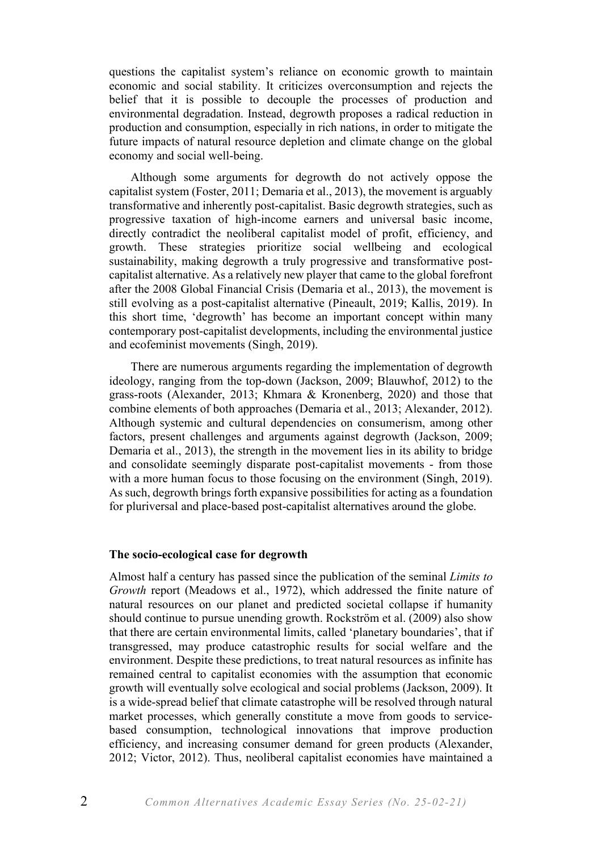questions the capitalist system's reliance on economic growth to maintain economic and social stability. It criticizes overconsumption and rejects the belief that it is possible to decouple the processes of production and environmental degradation. Instead, degrowth proposes a radical reduction in production and consumption, especially in rich nations, in order to mitigate the future impacts of natural resource depletion and climate change on the global economy and social well-being.

Although some arguments for degrowth do not actively oppose the capitalist system (Foster, 2011; Demaria et al., 2013), the movement is arguably transformative and inherently post-capitalist. Basic degrowth strategies, such as progressive taxation of high-income earners and universal basic income, directly contradict the neoliberal capitalist model of profit, efficiency, and growth. These strategies prioritize social wellbeing and ecological sustainability, making degrowth a truly progressive and transformative postcapitalist alternative. As a relatively new player that came to the global forefront after the 2008 Global Financial Crisis (Demaria et al., 2013), the movement is still evolving as a post-capitalist alternative (Pineault, 2019; Kallis, 2019). In this short time, 'degrowth' has become an important concept within many contemporary post-capitalist developments, including the environmental justice and ecofeminist movements (Singh, 2019).

There are numerous arguments regarding the implementation of degrowth ideology, ranging from the top-down (Jackson, 2009; Blauwhof, 2012) to the grass-roots (Alexander, 2013; Khmara & Kronenberg, 2020) and those that combine elements of both approaches (Demaria et al., 2013; Alexander, 2012). Although systemic and cultural dependencies on consumerism, among other factors, present challenges and arguments against degrowth (Jackson, 2009; Demaria et al., 2013), the strength in the movement lies in its ability to bridge and consolidate seemingly disparate post-capitalist movements - from those with a more human focus to those focusing on the environment (Singh, 2019). As such, degrowth brings forth expansive possibilities for acting as a foundation for pluriversal and place-based post-capitalist alternatives around the globe.

#### **The socio-ecological case for degrowth**

Almost half a century has passed since the publication of the seminal *Limits to Growth* report (Meadows et al., 1972), which addressed the finite nature of natural resources on our planet and predicted societal collapse if humanity should continue to pursue unending growth. Rockström et al. (2009) also show that there are certain environmental limits, called 'planetary boundaries', that if transgressed, may produce catastrophic results for social welfare and the environment. Despite these predictions, to treat natural resources as infinite has remained central to capitalist economies with the assumption that economic growth will eventually solve ecological and social problems (Jackson, 2009). It is a wide-spread belief that climate catastrophe will be resolved through natural market processes, which generally constitute a move from goods to servicebased consumption, technological innovations that improve production efficiency, and increasing consumer demand for green products (Alexander, 2012; Victor, 2012). Thus, neoliberal capitalist economies have maintained a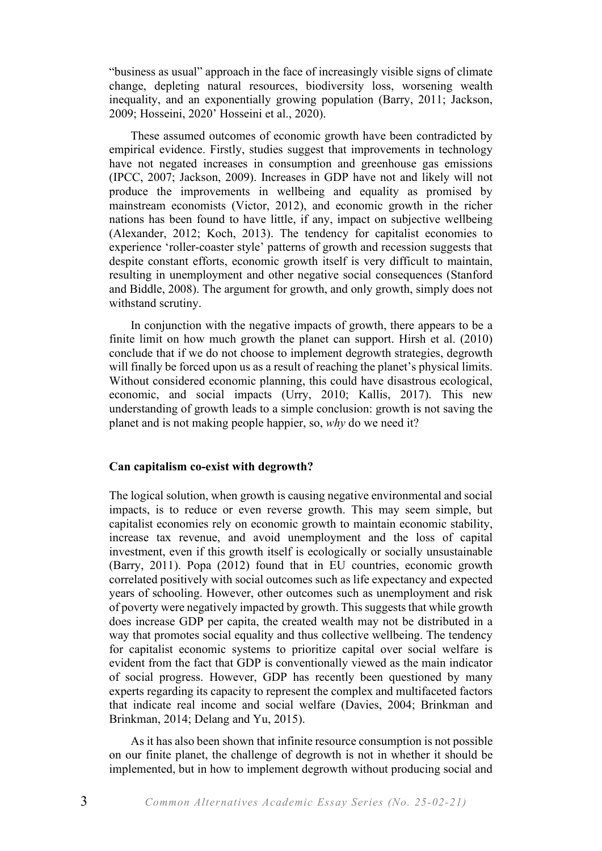"business as usual" approach in the face of increasingly visible signs of climate change, depleting natural resources, biodiversity loss, worsening wealth inequality, and an exponentially growing population (Barry, 2011; Jackson, 2009; Hosseini, 2020' Hosseini et al., 2020).

These assumed outcomes of economic growth have been contradicted by empirical evidence. Firstly, studies suggest that improvements in technology have not negated increases in consumption and greenhouse gas emissions (IPCC, 2007; Jackson, 2009). Increases in GDP have not and likely will not produce the improvements in wellbeing and equality as promised by mainstream economists (Victor, 2012), and economic growth in the richer nations has been found to have little, if any, impact on subjective wellbeing (Alexander, 2012; Koch, 2013). The tendency for capitalist economies to experience 'roller-coaster style' patterns of growth and recession suggests that despite constant efforts, economic growth itself is very difficult to maintain, resulting in unemployment and other negative social consequences (Stanford and Biddle, 2008). The argument for growth, and only growth, simply does not withstand scrutiny.

In conjunction with the negative impacts of growth, there appears to be a finite limit on how much growth the planet can support. Hirsh et al. (2010) conclude that if we do not choose to implement degrowth strategies, degrowth will finally be forced upon us as a result of reaching the planet's physical limits. Without considered economic planning, this could have disastrous ecological, economic, and social impacts (Urry, 2010; Kallis, 2017). This new understanding of growth leads to a simple conclusion: growth is not saving the planet and is not making people happier, so, *why* do we need it?

#### **Can capitalism co-exist with degrowth?**

The logical solution, when growth is causing negative environmental and social impacts, is to reduce or even reverse growth. This may seem simple, but capitalist economies rely on economic growth to maintain economic stability, increase tax revenue, and avoid unemployment and the loss of capital investment, even if this growth itself is ecologically or socially unsustainable (Barry, 2011). Popa (2012) found that in EU countries, economic growth correlated positively with social outcomes such as life expectancy and expected years of schooling. However, other outcomes such as unemployment and risk of poverty were negatively impacted by growth. This suggests that while growth does increase GDP per capita, the created wealth may not be distributed in a way that promotes social equality and thus collective wellbeing. The tendency for capitalist economic systems to prioritize capital over social welfare is evident from the fact that GDP is conventionally viewed as the main indicator of social progress. However, GDP has recently been questioned by many experts regarding its capacity to represent the complex and multifaceted factors that indicate real income and social welfare (Davies, 2004; Brinkman and Brinkman, 2014; Delang and Yu, 2015).

As it has also been shown that infinite resource consumption is not possible on our finite planet, the challenge of degrowth is not in whether it should be implemented, but in how to implement degrowth without producing social and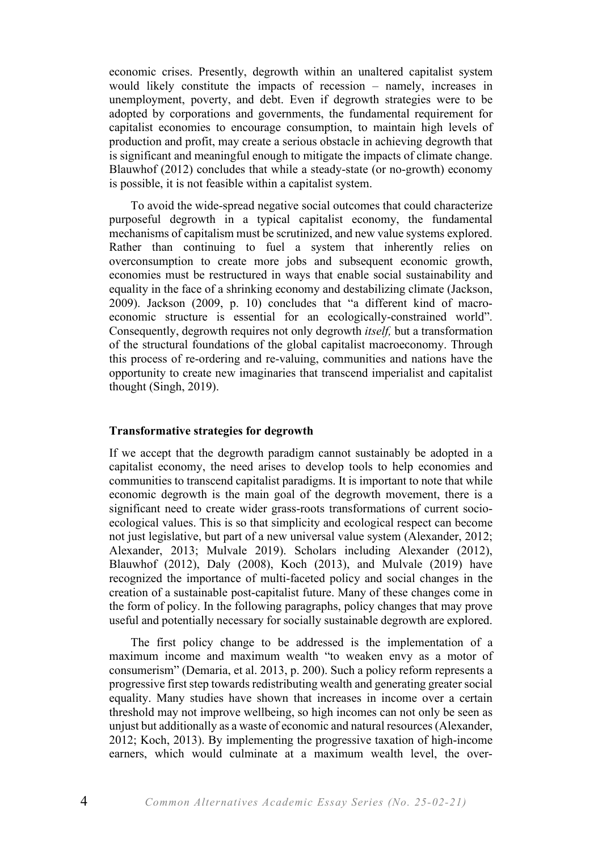economic crises. Presently, degrowth within an unaltered capitalist system would likely constitute the impacts of recession – namely, increases in unemployment, poverty, and debt. Even if degrowth strategies were to be adopted by corporations and governments, the fundamental requirement for capitalist economies to encourage consumption, to maintain high levels of production and profit, may create a serious obstacle in achieving degrowth that is significant and meaningful enough to mitigate the impacts of climate change. Blauwhof (2012) concludes that while a steady-state (or no-growth) economy is possible, it is not feasible within a capitalist system.

To avoid the wide-spread negative social outcomes that could characterize purposeful degrowth in a typical capitalist economy, the fundamental mechanisms of capitalism must be scrutinized, and new value systems explored. Rather than continuing to fuel a system that inherently relies on overconsumption to create more jobs and subsequent economic growth, economies must be restructured in ways that enable social sustainability and equality in the face of a shrinking economy and destabilizing climate (Jackson, 2009). Jackson (2009, p. 10) concludes that "a different kind of macroeconomic structure is essential for an ecologically-constrained world". Consequently, degrowth requires not only degrowth *itself,* but a transformation of the structural foundations of the global capitalist macroeconomy. Through this process of re-ordering and re-valuing, communities and nations have the opportunity to create new imaginaries that transcend imperialist and capitalist thought (Singh, 2019).

#### **Transformative strategies for degrowth**

If we accept that the degrowth paradigm cannot sustainably be adopted in a capitalist economy, the need arises to develop tools to help economies and communities to transcend capitalist paradigms. It is important to note that while economic degrowth is the main goal of the degrowth movement, there is a significant need to create wider grass-roots transformations of current socioecological values. This is so that simplicity and ecological respect can become not just legislative, but part of a new universal value system (Alexander, 2012; Alexander, 2013; Mulvale 2019). Scholars including Alexander (2012), Blauwhof (2012), Daly (2008), Koch (2013), and Mulvale (2019) have recognized the importance of multi-faceted policy and social changes in the creation of a sustainable post-capitalist future. Many of these changes come in the form of policy. In the following paragraphs, policy changes that may prove useful and potentially necessary for socially sustainable degrowth are explored.

The first policy change to be addressed is the implementation of a maximum income and maximum wealth "to weaken envy as a motor of consumerism" (Demaria, et al. 2013, p. 200). Such a policy reform represents a progressive first step towards redistributing wealth and generating greater social equality. Many studies have shown that increases in income over a certain threshold may not improve wellbeing, so high incomes can not only be seen as unjust but additionally as a waste of economic and natural resources (Alexander, 2012; Koch, 2013). By implementing the progressive taxation of high-income earners, which would culminate at a maximum wealth level, the over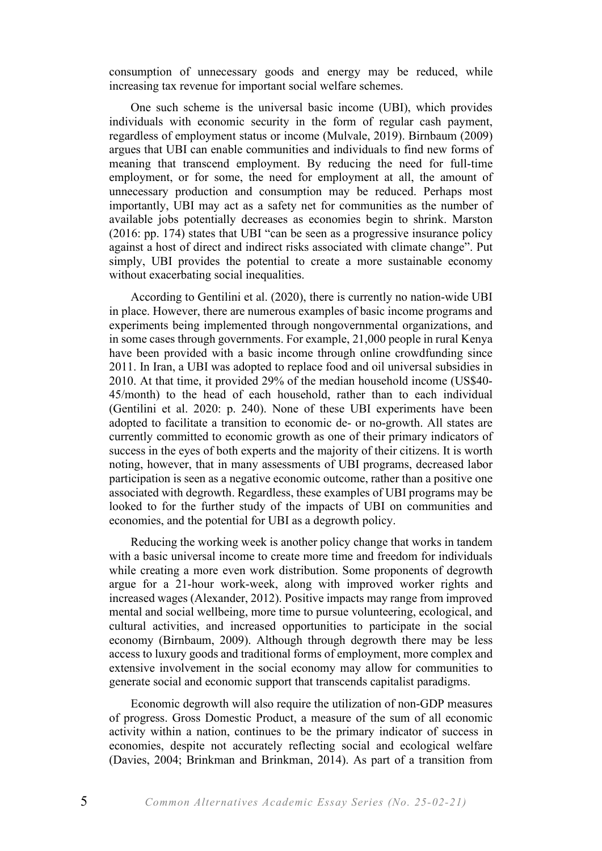consumption of unnecessary goods and energy may be reduced, while increasing tax revenue for important social welfare schemes.

One such scheme is the universal basic income (UBI), which provides individuals with economic security in the form of regular cash payment, regardless of employment status or income (Mulvale, 2019). Birnbaum (2009) argues that UBI can enable communities and individuals to find new forms of meaning that transcend employment. By reducing the need for full-time employment, or for some, the need for employment at all, the amount of unnecessary production and consumption may be reduced. Perhaps most importantly, UBI may act as a safety net for communities as the number of available jobs potentially decreases as economies begin to shrink. Marston (2016: pp. 174) states that UBI "can be seen as a progressive insurance policy against a host of direct and indirect risks associated with climate change". Put simply, UBI provides the potential to create a more sustainable economy without exacerbating social inequalities.

According to Gentilini et al. (2020), there is currently no nation-wide UBI in place. However, there are numerous examples of basic income programs and experiments being implemented through nongovernmental organizations, and in some cases through governments. For example, 21,000 people in rural Kenya have been provided with a basic income through online crowdfunding since 2011. In Iran, a UBI was adopted to replace food and oil universal subsidies in 2010. At that time, it provided 29% of the median household income (US\$40- 45/month) to the head of each household, rather than to each individual (Gentilini et al. 2020: p. 240). None of these UBI experiments have been adopted to facilitate a transition to economic de- or no-growth. All states are currently committed to economic growth as one of their primary indicators of success in the eyes of both experts and the majority of their citizens. It is worth noting, however, that in many assessments of UBI programs, decreased labor participation is seen as a negative economic outcome, rather than a positive one associated with degrowth. Regardless, these examples of UBI programs may be looked to for the further study of the impacts of UBI on communities and economies, and the potential for UBI as a degrowth policy.

Reducing the working week is another policy change that works in tandem with a basic universal income to create more time and freedom for individuals while creating a more even work distribution. Some proponents of degrowth argue for a 21-hour work-week, along with improved worker rights and increased wages (Alexander, 2012). Positive impacts may range from improved mental and social wellbeing, more time to pursue volunteering, ecological, and cultural activities, and increased opportunities to participate in the social economy (Birnbaum, 2009). Although through degrowth there may be less access to luxury goods and traditional forms of employment, more complex and extensive involvement in the social economy may allow for communities to generate social and economic support that transcends capitalist paradigms.

Economic degrowth will also require the utilization of non-GDP measures of progress. Gross Domestic Product, a measure of the sum of all economic activity within a nation, continues to be the primary indicator of success in economies, despite not accurately reflecting social and ecological welfare (Davies, 2004; Brinkman and Brinkman, 2014). As part of a transition from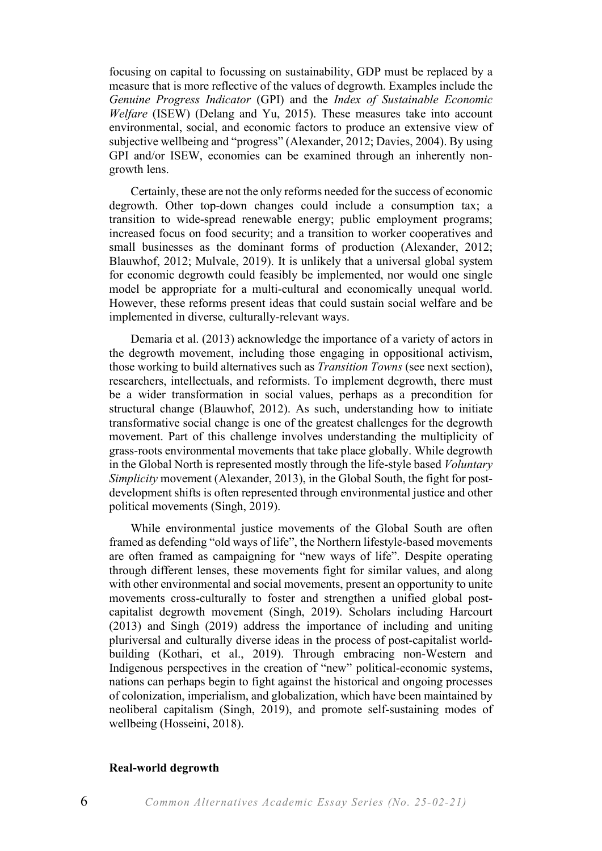focusing on capital to focussing on sustainability, GDP must be replaced by a measure that is more reflective of the values of degrowth. Examples include the *Genuine Progress Indicator* (GPI) and the *Index of Sustainable Economic Welfare* (ISEW) (Delang and Yu, 2015). These measures take into account environmental, social, and economic factors to produce an extensive view of subjective wellbeing and "progress" (Alexander, 2012; Davies, 2004). By using GPI and/or ISEW, economies can be examined through an inherently nongrowth lens.

Certainly, these are not the only reforms needed for the success of economic degrowth. Other top-down changes could include a consumption tax; a transition to wide-spread renewable energy; public employment programs; increased focus on food security; and a transition to worker cooperatives and small businesses as the dominant forms of production (Alexander, 2012; Blauwhof, 2012; Mulvale, 2019). It is unlikely that a universal global system for economic degrowth could feasibly be implemented, nor would one single model be appropriate for a multi-cultural and economically unequal world. However, these reforms present ideas that could sustain social welfare and be implemented in diverse, culturally-relevant ways.

Demaria et al. (2013) acknowledge the importance of a variety of actors in the degrowth movement, including those engaging in oppositional activism, those working to build alternatives such as *Transition Towns* (see next section), researchers, intellectuals, and reformists. To implement degrowth, there must be a wider transformation in social values, perhaps as a precondition for structural change (Blauwhof, 2012). As such, understanding how to initiate transformative social change is one of the greatest challenges for the degrowth movement. Part of this challenge involves understanding the multiplicity of grass-roots environmental movements that take place globally. While degrowth in the Global North is represented mostly through the life-style based *Voluntary Simplicity* movement (Alexander, 2013), in the Global South, the fight for postdevelopment shifts is often represented through environmental justice and other political movements (Singh, 2019).

While environmental justice movements of the Global South are often framed as defending "old ways of life", the Northern lifestyle-based movements are often framed as campaigning for "new ways of life". Despite operating through different lenses, these movements fight for similar values, and along with other environmental and social movements, present an opportunity to unite movements cross-culturally to foster and strengthen a unified global postcapitalist degrowth movement (Singh, 2019). Scholars including Harcourt (2013) and Singh (2019) address the importance of including and uniting pluriversal and culturally diverse ideas in the process of post-capitalist worldbuilding (Kothari, et al., 2019). Through embracing non-Western and Indigenous perspectives in the creation of "new" political-economic systems, nations can perhaps begin to fight against the historical and ongoing processes of colonization, imperialism, and globalization, which have been maintained by neoliberal capitalism (Singh, 2019), and promote self-sustaining modes of wellbeing (Hosseini, 2018).

#### **Real-world degrowth**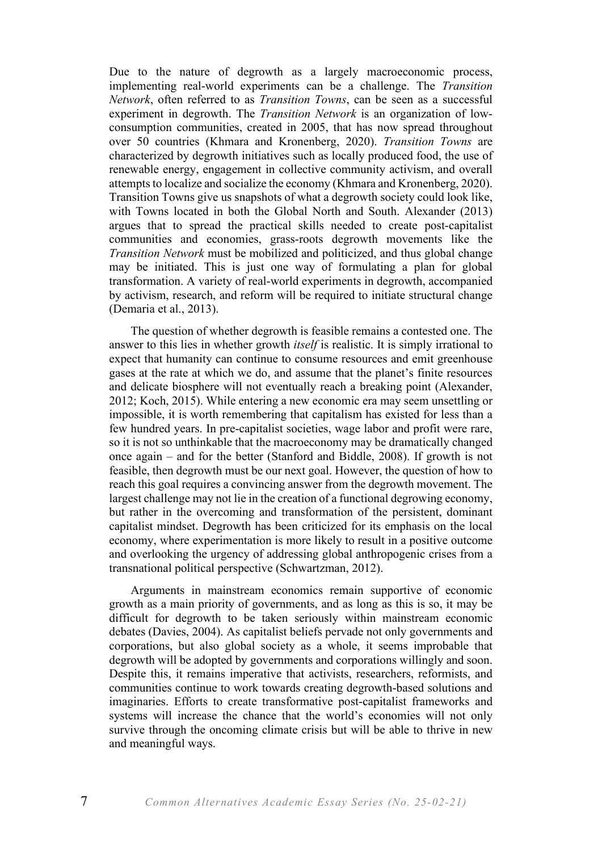Due to the nature of degrowth as a largely macroeconomic process, implementing real-world experiments can be a challenge. The *Transition Network*, often referred to as *Transition Towns*, can be seen as a successful experiment in degrowth. The *Transition Network* is an organization of lowconsumption communities, created in 2005, that has now spread throughout over 50 countries (Khmara and Kronenberg, 2020). *Transition Towns* are characterized by degrowth initiatives such as locally produced food, the use of renewable energy, engagement in collective community activism, and overall attempts to localize and socialize the economy (Khmara and Kronenberg, 2020). Transition Towns give us snapshots of what a degrowth society could look like, with Towns located in both the Global North and South. Alexander (2013) argues that to spread the practical skills needed to create post-capitalist communities and economies, grass-roots degrowth movements like the *Transition Network* must be mobilized and politicized, and thus global change may be initiated. This is just one way of formulating a plan for global transformation. A variety of real-world experiments in degrowth, accompanied by activism, research, and reform will be required to initiate structural change (Demaria et al., 2013).

The question of whether degrowth is feasible remains a contested one. The answer to this lies in whether growth *itself* is realistic. It is simply irrational to expect that humanity can continue to consume resources and emit greenhouse gases at the rate at which we do, and assume that the planet's finite resources and delicate biosphere will not eventually reach a breaking point (Alexander, 2012; Koch, 2015). While entering a new economic era may seem unsettling or impossible, it is worth remembering that capitalism has existed for less than a few hundred years. In pre-capitalist societies, wage labor and profit were rare, so it is not so unthinkable that the macroeconomy may be dramatically changed once again – and for the better (Stanford and Biddle, 2008). If growth is not feasible, then degrowth must be our next goal. However, the question of how to reach this goal requires a convincing answer from the degrowth movement. The largest challenge may not lie in the creation of a functional degrowing economy, but rather in the overcoming and transformation of the persistent, dominant capitalist mindset. Degrowth has been criticized for its emphasis on the local economy, where experimentation is more likely to result in a positive outcome and overlooking the urgency of addressing global anthropogenic crises from a transnational political perspective (Schwartzman, 2012).

Arguments in mainstream economics remain supportive of economic growth as a main priority of governments, and as long as this is so, it may be difficult for degrowth to be taken seriously within mainstream economic debates (Davies, 2004). As capitalist beliefs pervade not only governments and corporations, but also global society as a whole, it seems improbable that degrowth will be adopted by governments and corporations willingly and soon. Despite this, it remains imperative that activists, researchers, reformists, and communities continue to work towards creating degrowth-based solutions and imaginaries. Efforts to create transformative post-capitalist frameworks and systems will increase the chance that the world's economies will not only survive through the oncoming climate crisis but will be able to thrive in new and meaningful ways.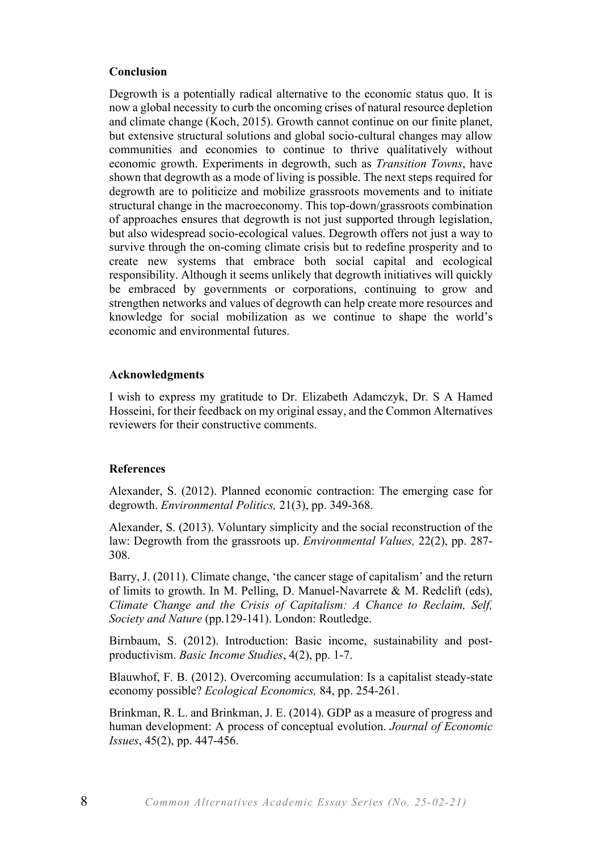# **Conclusion**

Degrowth is a potentially radical alternative to the economic status quo. It is now a global necessity to curb the oncoming crises of natural resource depletion and climate change (Koch, 2015). Growth cannot continue on our finite planet, but extensive structural solutions and global socio-cultural changes may allow communities and economies to continue to thrive qualitatively without economic growth. Experiments in degrowth, such as *Transition Towns*, have shown that degrowth as a mode of living is possible. The next steps required for degrowth are to politicize and mobilize grassroots movements and to initiate structural change in the macroeconomy. This top-down/grassroots combination of approaches ensures that degrowth is not just supported through legislation, but also widespread socio-ecological values. Degrowth offers not just a way to survive through the on-coming climate crisis but to redefine prosperity and to create new systems that embrace both social capital and ecological responsibility. Although it seems unlikely that degrowth initiatives will quickly be embraced by governments or corporations, continuing to grow and strengthen networks and values of degrowth can help create more resources and knowledge for social mobilization as we continue to shape the world's economic and environmental futures.

### **Acknowledgments**

I wish to express my gratitude to Dr. Elizabeth Adamczyk, Dr. S A Hamed Hosseini, for their feedback on my original essay, and the Common Alternatives reviewers for their constructive comments.

#### **References**

Alexander, S. (2012). Planned economic contraction: The emerging case for degrowth. *Environmental Politics,* 21(3), pp. 349-368.

Alexander, S. (2013). Voluntary simplicity and the social reconstruction of the law: Degrowth from the grassroots up. *Environmental Values,* 22(2), pp. 287- 308.

Barry, J. (2011). Climate change, 'the cancer stage of capitalism' and the return of limits to growth. In M. Pelling, D. Manuel-Navarrete & M. Redclift (eds), *Climate Change and the Crisis of Capitalism: A Chance to Reclaim, Self, Society and Nature* (pp.129-141). London: Routledge.

Birnbaum, S. (2012). Introduction: Basic income, sustainability and postproductivism. *Basic Income Studies*, 4(2), pp. 1-7.

Blauwhof, F. B. (2012). Overcoming accumulation: Is a capitalist steady-state economy possible? *Ecological Economics,* 84, pp. 254-261.

Brinkman, R. L. and Brinkman, J. E. (2014). GDP as a measure of progress and human development: A process of conceptual evolution. *Journal of Economic Issues*, 45(2), pp. 447-456.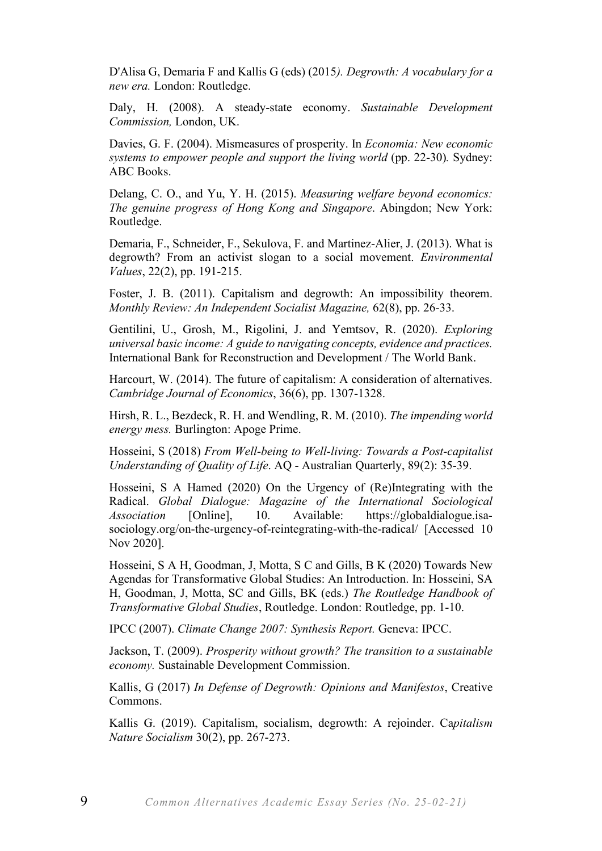D'Alisa G, Demaria F and Kallis G (eds) (2015*). Degrowth: A vocabulary for a new era.* London: Routledge.

Daly, H. (2008). A steady-state economy. *Sustainable Development Commission,* London, UK.

Davies, G. F. (2004). Mismeasures of prosperity. In *Economia: New economic systems to empower people and support the living world (pp. 22-30). Sydney:* ABC Books.

Delang, C. O., and Yu, Y. H. (2015). *Measuring welfare beyond economics: The genuine progress of Hong Kong and Singapore*. Abingdon; New York: Routledge.

Demaria, F., Schneider, F., Sekulova, F. and Martinez-Alier, J. (2013). What is degrowth? From an activist slogan to a social movement. *Environmental Values*, 22(2), pp. 191-215.

Foster, J. B. (2011). Capitalism and degrowth: An impossibility theorem. *Monthly Review: An Independent Socialist Magazine,* 62(8), pp. 26-33.

Gentilini, U., Grosh, M., Rigolini, J. and Yemtsov, R. (2020). *Exploring universal basic income: A guide to navigating concepts, evidence and practices.* International Bank for Reconstruction and Development / The World Bank.

Harcourt, W. (2014). The future of capitalism: A consideration of alternatives. *Cambridge Journal of Economics*, 36(6), pp. 1307-1328.

Hirsh, R. L., Bezdeck, R. H. and Wendling, R. M. (2010). *The impending world energy mess.* Burlington: Apoge Prime.

Hosseini, S (2018) *From Well-being to Well-living: Towards a Post-capitalist Understanding of Quality of Life*. AQ - Australian Quarterly, 89(2): 35-39.

Hosseini, S A Hamed (2020) On the Urgency of (Re)Integrating with the Radical. *Global Dialogue: Magazine of the International Sociological Association* [Online], 10. Available: https://globaldialogue.isasociology.org/on-the-urgency-of-reintegrating-with-the-radical/ [Accessed 10 Nov 2020].

Hosseini, S A H, Goodman, J, Motta, S C and Gills, B K (2020) Towards New Agendas for Transformative Global Studies: An Introduction. In: Hosseini, SA H, Goodman, J, Motta, SC and Gills, BK (eds.) *The Routledge Handbook of Transformative Global Studies*, Routledge. London: Routledge, pp. 1-10.

IPCC (2007). *Climate Change 2007: Synthesis Report.* Geneva: IPCC.

Jackson, T. (2009). *Prosperity without growth? The transition to a sustainable economy.* Sustainable Development Commission.

Kallis, G (2017) *In Defense of Degrowth: Opinions and Manifestos*, Creative Commons.

Kallis G. (2019). Capitalism, socialism, degrowth: A rejoinder. Ca*pitalism Nature Socialism* 30(2), pp. 267-273.